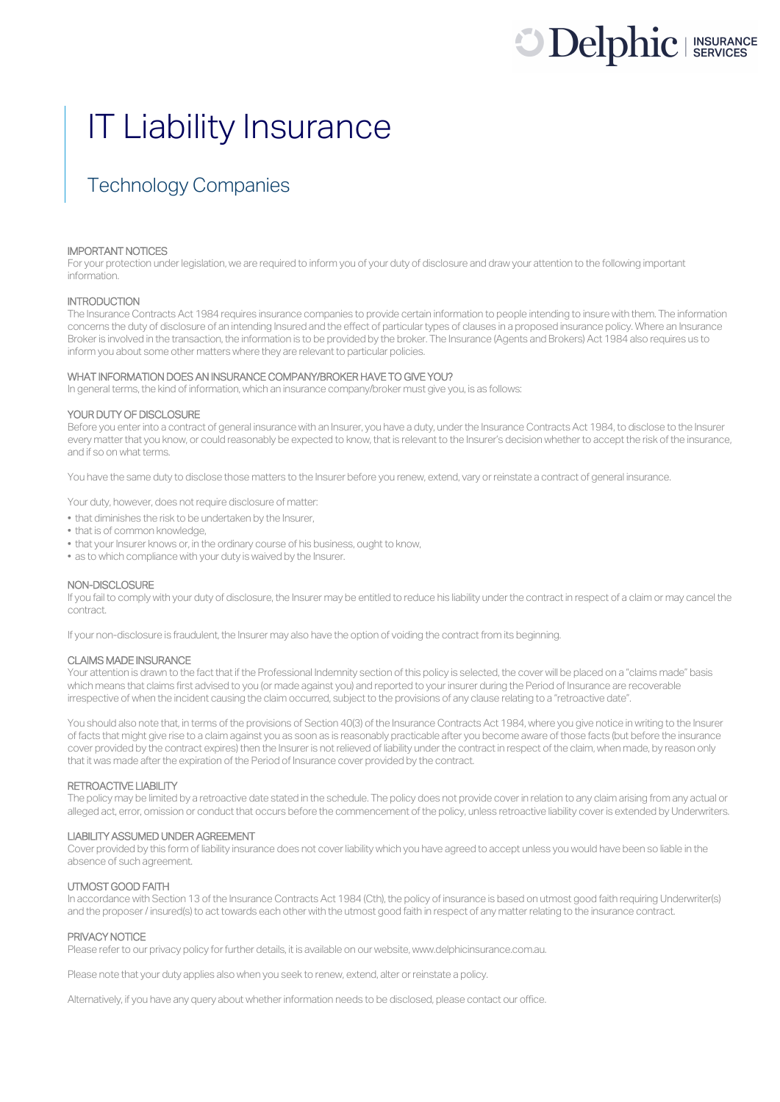# **Delphic** I INSURANCES

## IT Liability Insurance

### Technology Companies

#### IMPORTANT NOTICES

For your protection under legislation, we are required to inform you of your duty of disclosure and draw your attention to the following important information.

#### **INTRODUCTION**

The Insurance Contracts Act 1984 requires insurance companies to provide certain information to people intending to insure with them. The information concerns the duty of disclosure of an intending Insured and the effect of particular types of clauses in a proposed insurance policy. Where an Insurance Broker is involved in the transaction, the information is to be provided by the broker. The Insurance (Agents and Brokers) Act 1984 also requires us to inform you about some other matters where they are relevant to particular policies.

#### WHAT INFORMATION DOES AN INSURANCE COMPANY/BROKER HAVE TO GIVE YOU?

In general terms, the kind of information, which an insurance company/broker must give you, is as follows:

#### YOUR DUTY OF DISCLOSURE

Before you enter into a contract of general insurance with an Insurer, you have a duty, under the Insurance Contracts Act 1984, to disclose to the Insurer every matter that you know, or could reasonably be expected to know, that is relevant to the Insurer's decision whether to accept the risk of the insurance, and if so on what terms.

You have the same duty to disclose those matters to the Insurer before you renew, extend, vary or reinstate a contract of general insurance.

Your duty, however, does not require disclosure of matter:

- that diminishes the risk to be undertaken by the Insurer,
- that is of common knowledge,
- that your Insurer knows or, in the ordinary course of his business, ought to know,
- as to which compliance with your duty is waived by the Insurer.

#### NON-DISCLOSURE

If you fail to comply with your duty of disclosure, the Insurer may be entitled to reduce his liability under the contract in respect of a claim or may cancel the contract.

If your non-disclosure is fraudulent, the Insurer may also have the option of voiding the contract from its beginning.

#### CLAIMS MADE INSURANCE

Your attention is drawn to the fact that if the Professional Indemnity section of this policy is selected, the cover will be placed on a "claims made" basis which means that claims first advised to you (or made against you) and reported to your insurer during the Period of Insurance are recoverable irrespective of when the incident causing the claim occurred, subject to the provisions of any clause relating to a "retroactive date".

You should also note that, in terms of the provisions of Section 40(3) of the Insurance Contracts Act 1984, where you give notice in writing to the Insurer of facts that might give rise to a claim against you as soon as is reasonably practicable after you become aware of those facts (but before the insurance cover provided by the contract expires) then the Insurer is not relieved of liability under the contract in respect of the claim, when made, by reason only that it was made after the expiration of the Period of Insurance cover provided by the contract.

#### RETROACTIVE LIABILITY

The policy may be limited by a retroactive date stated in the schedule. The policy does not provide cover in relation to any claim arising from any actual or alleged act, error, omission or conduct that occurs before the commencement of the policy, unless retroactive liability cover is extended by Underwriters.

#### LIABILITY ASSUMED UNDER AGREEMENT

Cover provided by this form of liability insurance does not cover liability which you have agreed to accept unless you would have been so liable in the absence of such agreement.

#### UTMOST GOOD FAITH

In accordance with Section 13 of the Insurance Contracts Act 1984 (Cth), the policy of insurance is based on utmost good faith requiring Underwriter(s) and the proposer/ insured(s) to act towards each other with the utmost good faith in respect of any matter relating to the insurance contract.

#### PRIVACY NOTICE

Please refer to our privacy policy for further details, it is available on our website, www.delphicinsurance.com.au.

Please note that your duty applies also when you seek to renew, extend, alter or reinstate a policy.

Alternatively, if you have any query about whether information needs to be disclosed, please contact our office.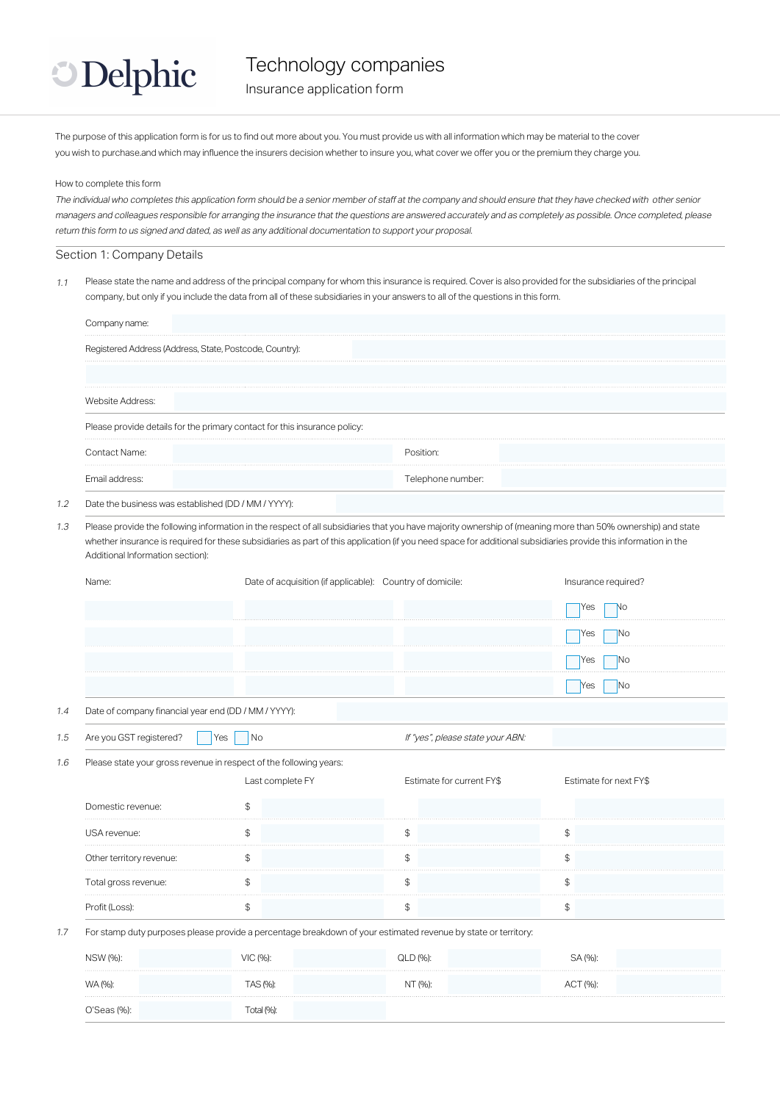

Technology companies

Insurance application form

The purpose of this application form is for us to find out more about you. You must provide us with all information which may be material to the cover you wish to purchase.and which may influence the insurers decision whether to insure you, what cover we offer you or the premium they charge you.

#### How to complete this form

The individual who completes this application form should be a senior member of staff at the company and should ensure that they have checked with other senior managers and colleagues responsible for arranging the insurance that the questions are answered accurately and as completely as possible. Once completed, please return this form to us signed and dated, as well as any additional documentation to support your proposal.

#### Section 1: Company Details

 $1.1$  Please state the name and address of the principal company for whom this insurance is required. Cover is also provided for the subsidiaries of the principal company, but only if you include the data from all of these subsidiaries in your answers to all of the questions in this form.

| Company name:                                           |                                                                                        |                                                                                                                                                                                                                                                                                                                                |                        |
|---------------------------------------------------------|----------------------------------------------------------------------------------------|--------------------------------------------------------------------------------------------------------------------------------------------------------------------------------------------------------------------------------------------------------------------------------------------------------------------------------|------------------------|
| Registered Address (Address, State, Postcode, Country): |                                                                                        |                                                                                                                                                                                                                                                                                                                                |                        |
| Website Address:                                        |                                                                                        |                                                                                                                                                                                                                                                                                                                                |                        |
|                                                         | Please provide details for the primary contact for this insurance policy:              |                                                                                                                                                                                                                                                                                                                                |                        |
| Contact Name:                                           |                                                                                        | Position:                                                                                                                                                                                                                                                                                                                      |                        |
| Email address:                                          |                                                                                        | Telephone number:                                                                                                                                                                                                                                                                                                              |                        |
| Date the business was established (DD / MM / YYYY):     |                                                                                        |                                                                                                                                                                                                                                                                                                                                |                        |
| Additional Information section):                        |                                                                                        | Please provide the following information in the respect of all subsidiaries that you have majority ownership of (meaning more than 50% ownership) and state<br>whether insurance is required for these subsidiaries as part of this application (if you need space for additional subsidiaries provide this information in the |                        |
| Name:                                                   |                                                                                        | Date of acquisition (if applicable): Country of domicile:                                                                                                                                                                                                                                                                      | Insurance required?    |
|                                                         |                                                                                        |                                                                                                                                                                                                                                                                                                                                | Yes<br>No              |
|                                                         |                                                                                        |                                                                                                                                                                                                                                                                                                                                | Yes<br>No              |
|                                                         |                                                                                        |                                                                                                                                                                                                                                                                                                                                | Yes<br>No              |
|                                                         |                                                                                        |                                                                                                                                                                                                                                                                                                                                | No<br>Yes              |
| Date of company financial year end (DD / MM / YYYY):    |                                                                                        |                                                                                                                                                                                                                                                                                                                                |                        |
| Are you GST registered?                                 | No<br>Yes                                                                              | If "yes", please state your ABN:                                                                                                                                                                                                                                                                                               |                        |
|                                                         | Please state your gross revenue in respect of the following years:<br>Last complete FY | Estimate for current FY\$                                                                                                                                                                                                                                                                                                      | Estimate for next FY\$ |
| Domestic revenue:                                       | \$                                                                                     |                                                                                                                                                                                                                                                                                                                                |                        |
| USA revenue:                                            | \$                                                                                     | \$                                                                                                                                                                                                                                                                                                                             | \$                     |
| Other territory revenue:                                | \$                                                                                     | \$                                                                                                                                                                                                                                                                                                                             | \$                     |
| Total gross revenue:                                    | \$                                                                                     | \$                                                                                                                                                                                                                                                                                                                             | \$                     |
| Profit (Loss):                                          | $\, \, \raisebox{12pt}{$\scriptstyle \circ$}$                                          | $\, \, \raisebox{12pt}{$\scriptstyle \circ$}$                                                                                                                                                                                                                                                                                  | \$                     |
|                                                         |                                                                                        | For stamp duty purposes please provide a percentage breakdown of your estimated revenue by state or territory:                                                                                                                                                                                                                 |                        |
| NSW (%):                                                | VIC (%):                                                                               | QLD (%):                                                                                                                                                                                                                                                                                                                       | SA (%):                |
| WA (%):                                                 | TAS (%):                                                                               | NT (%):                                                                                                                                                                                                                                                                                                                        | ACT (%):               |
| O'Seas (%):                                             | Total (%):                                                                             |                                                                                                                                                                                                                                                                                                                                |                        |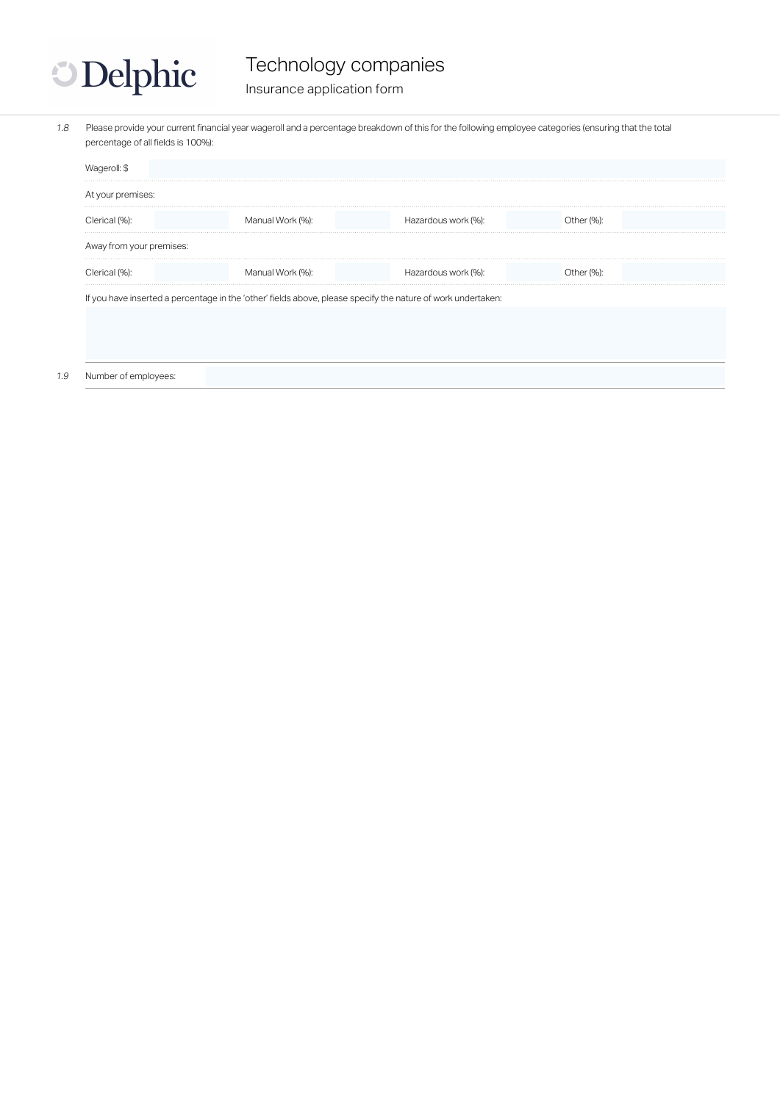

## Technology companies

Insurance application form

1.8 Please provide your current financial year wageroll and a percentage breakdown of this for the following employee categories (ensuring that the total percentage of all fields is 100%):

| Wageroll: \$             |                                                                                                              |                     |            |  |
|--------------------------|--------------------------------------------------------------------------------------------------------------|---------------------|------------|--|
| At your premises:        |                                                                                                              |                     |            |  |
| Clerical (%):            | Manual Work (%):                                                                                             | Hazardous work (%): | Other (%): |  |
| Away from your premises: |                                                                                                              |                     |            |  |
| Clerical (%):            | Manual Work (%):                                                                                             | Hazardous work (%): | Other (%): |  |
|                          | If you have inserted a percentage in the 'other' fields above, please specify the nature of work undertaken: |                     |            |  |
|                          |                                                                                                              |                     |            |  |

#### 1.9 Number of employees: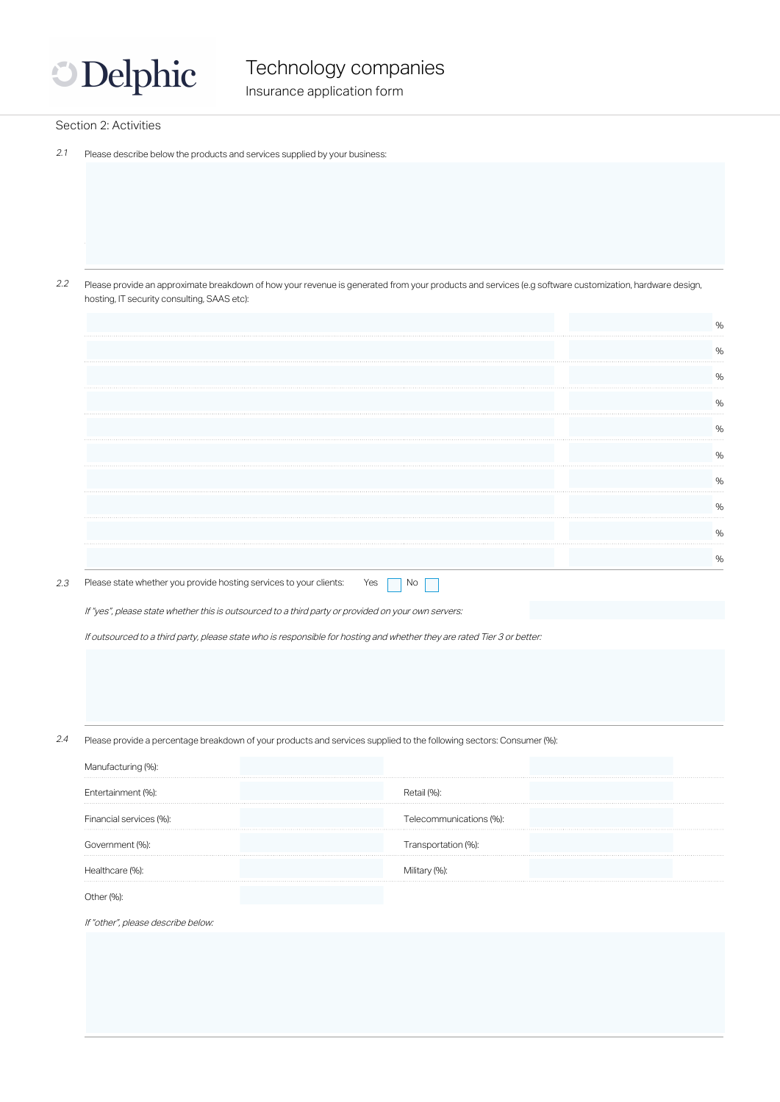

#### Section 2: Activities

2.1 Please describe below the products and services supplied by your business:

2.2 Please provide an approximate breakdown of how your revenue is generated from your products and services (e.g software customization, hardware design, hosting, IT security consulting, SAAS etc):

| $\%$ |
|------|
|      |
|      |
|      |
| $\%$ |
|      |

2.3 Please state whether you provide hosting services to your clients: Yes  $\Box$  No

If "yes", please state whether this is outsourced to a third party or provided on your own servers:

If outsourced to a third party, please state who is responsible for hosting and whether they are rated Tier 3 or better:

2.4 Please provide a percentage breakdown of your products and services supplied to the following sectors: Consumer (%):

| Manufacturing (%):      |                         |  |
|-------------------------|-------------------------|--|
| Entertainment (%):      |                         |  |
| Financial services (%): | Telecommunications (%): |  |
| Government (%):         | Transportation (%):     |  |
| Healthcare (%):         |                         |  |
|                         |                         |  |

If "other", please describe below: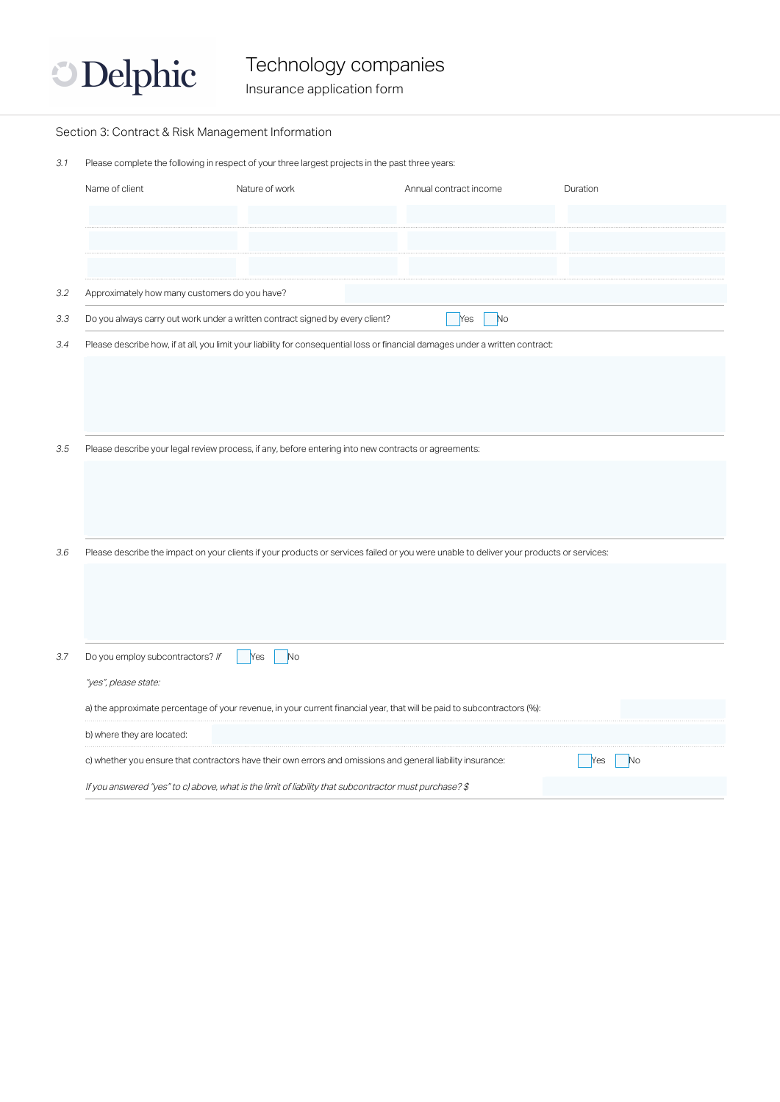

Technology companies

Insurance application form

|     | Section 3: Contract & Risk Management Information |                                                                                                        |                                                                                                                                         |                  |
|-----|---------------------------------------------------|--------------------------------------------------------------------------------------------------------|-----------------------------------------------------------------------------------------------------------------------------------------|------------------|
| 3.1 |                                                   | Please complete the following in respect of your three largest projects in the past three years:       |                                                                                                                                         |                  |
|     | Name of client                                    | Nature of work                                                                                         | Annual contract income                                                                                                                  | Duration         |
|     |                                                   |                                                                                                        |                                                                                                                                         |                  |
|     |                                                   |                                                                                                        |                                                                                                                                         |                  |
|     |                                                   |                                                                                                        |                                                                                                                                         |                  |
| 3.2 | Approximately how many customers do you have?     |                                                                                                        |                                                                                                                                         |                  |
| 3.3 |                                                   | Do you always carry out work under a written contract signed by every client?                          | N <sub>o</sub><br>Yes                                                                                                                   |                  |
| 3.4 |                                                   |                                                                                                        | Please describe how, if at all, you limit your liability for consequential loss or financial damages under a written contract:          |                  |
|     |                                                   |                                                                                                        |                                                                                                                                         |                  |
|     |                                                   |                                                                                                        |                                                                                                                                         |                  |
|     |                                                   |                                                                                                        |                                                                                                                                         |                  |
| 3.5 |                                                   | Please describe your legal review process, if any, before entering into new contracts or agreements:   |                                                                                                                                         |                  |
|     |                                                   |                                                                                                        |                                                                                                                                         |                  |
|     |                                                   |                                                                                                        |                                                                                                                                         |                  |
|     |                                                   |                                                                                                        |                                                                                                                                         |                  |
|     |                                                   |                                                                                                        |                                                                                                                                         |                  |
| 3.6 |                                                   |                                                                                                        | Please describe the impact on your clients if your products or services failed or you were unable to deliver your products or services: |                  |
|     |                                                   |                                                                                                        |                                                                                                                                         |                  |
|     |                                                   |                                                                                                        |                                                                                                                                         |                  |
|     |                                                   |                                                                                                        |                                                                                                                                         |                  |
| 3.7 | Do you employ subcontractors? If                  | N <sub>o</sub><br>Yes                                                                                  |                                                                                                                                         |                  |
|     | "yes", please state:                              |                                                                                                        |                                                                                                                                         |                  |
|     |                                                   |                                                                                                        | a) the approximate percentage of your revenue, in your current financial year, that will be paid to subcontractors (%):                 |                  |
|     | b) where they are located:                        |                                                                                                        |                                                                                                                                         |                  |
|     |                                                   |                                                                                                        | c) whether you ensure that contractors have their own errors and omissions and general liability insurance:                             | <b>No</b><br>Yes |
|     |                                                   | If you answered "yes" to c) above, what is the limit of liability that subcontractor must purchase? \$ |                                                                                                                                         |                  |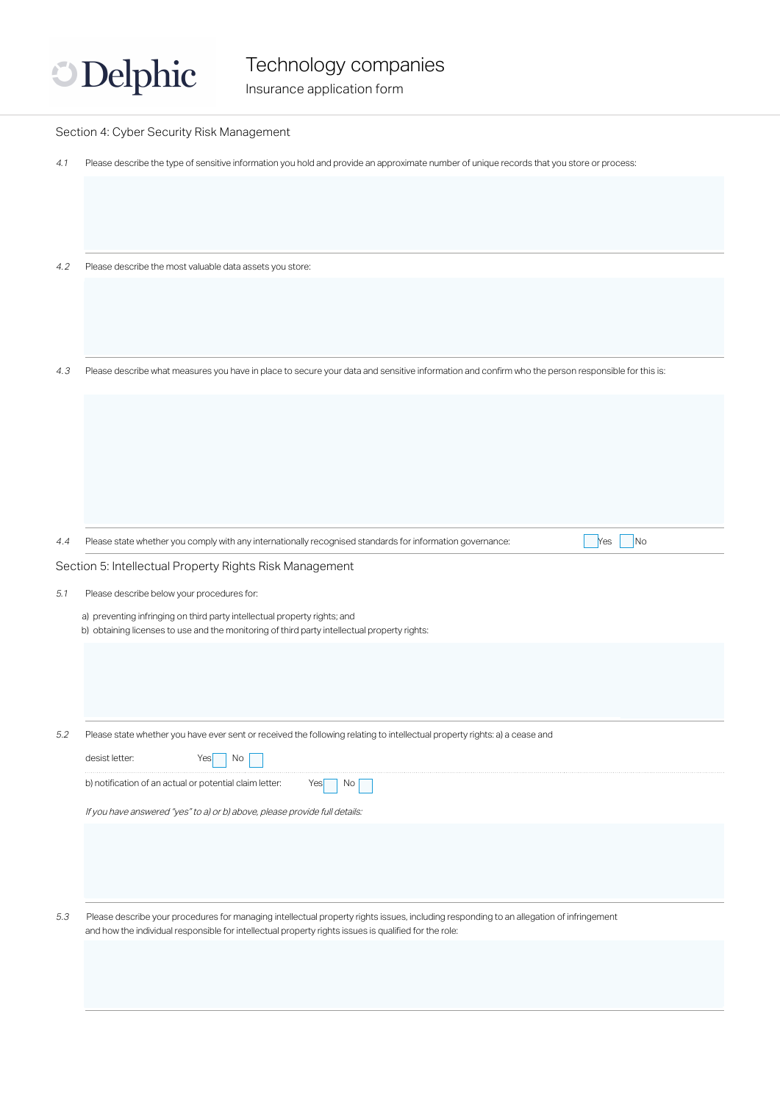

|     | Section 4: Cyber Security Risk Management                                                                                                                                                                                                        |
|-----|--------------------------------------------------------------------------------------------------------------------------------------------------------------------------------------------------------------------------------------------------|
| 4.1 | Please describe the type of sensitive information you hold and provide an approximate number of unique records that you store or process:                                                                                                        |
|     |                                                                                                                                                                                                                                                  |
|     |                                                                                                                                                                                                                                                  |
|     |                                                                                                                                                                                                                                                  |
|     |                                                                                                                                                                                                                                                  |
| 4.2 | Please describe the most valuable data assets you store:                                                                                                                                                                                         |
|     |                                                                                                                                                                                                                                                  |
|     |                                                                                                                                                                                                                                                  |
|     |                                                                                                                                                                                                                                                  |
| 4.3 | Please describe what measures you have in place to secure your data and sensitive information and confirm who the person responsible for this is:                                                                                                |
|     |                                                                                                                                                                                                                                                  |
|     |                                                                                                                                                                                                                                                  |
|     |                                                                                                                                                                                                                                                  |
|     |                                                                                                                                                                                                                                                  |
|     |                                                                                                                                                                                                                                                  |
|     |                                                                                                                                                                                                                                                  |
|     | Please state whether you comply with any internationally recognised standards for information governance:<br>No<br>Yes                                                                                                                           |
| 4.4 |                                                                                                                                                                                                                                                  |
|     | Section 5: Intellectual Property Rights Risk Management                                                                                                                                                                                          |
| 5.1 | Please describe below your procedures for:                                                                                                                                                                                                       |
|     | a) preventing infringing on third party intellectual property rights; and<br>b) obtaining licenses to use and the monitoring of third party intellectual property rights:                                                                        |
|     |                                                                                                                                                                                                                                                  |
|     |                                                                                                                                                                                                                                                  |
|     |                                                                                                                                                                                                                                                  |
|     |                                                                                                                                                                                                                                                  |
| 5.2 | Please state whether you have ever sent or received the following relating to intellectual property rights: a) a cease and                                                                                                                       |
|     | desist letter:<br>Yes<br>No.                                                                                                                                                                                                                     |
|     | b) notification of an actual or potential claim letter:<br>Yes<br>No                                                                                                                                                                             |
|     | If you have answered "yes" to a) or b) above, please provide full details:                                                                                                                                                                       |
|     |                                                                                                                                                                                                                                                  |
|     |                                                                                                                                                                                                                                                  |
|     |                                                                                                                                                                                                                                                  |
|     |                                                                                                                                                                                                                                                  |
| 5.3 | Please describe your procedures for managing intellectual property rights issues, including responding to an allegation of infringement<br>and how the individual responsible for intellectual property rights issues is qualified for the role: |
|     |                                                                                                                                                                                                                                                  |
|     |                                                                                                                                                                                                                                                  |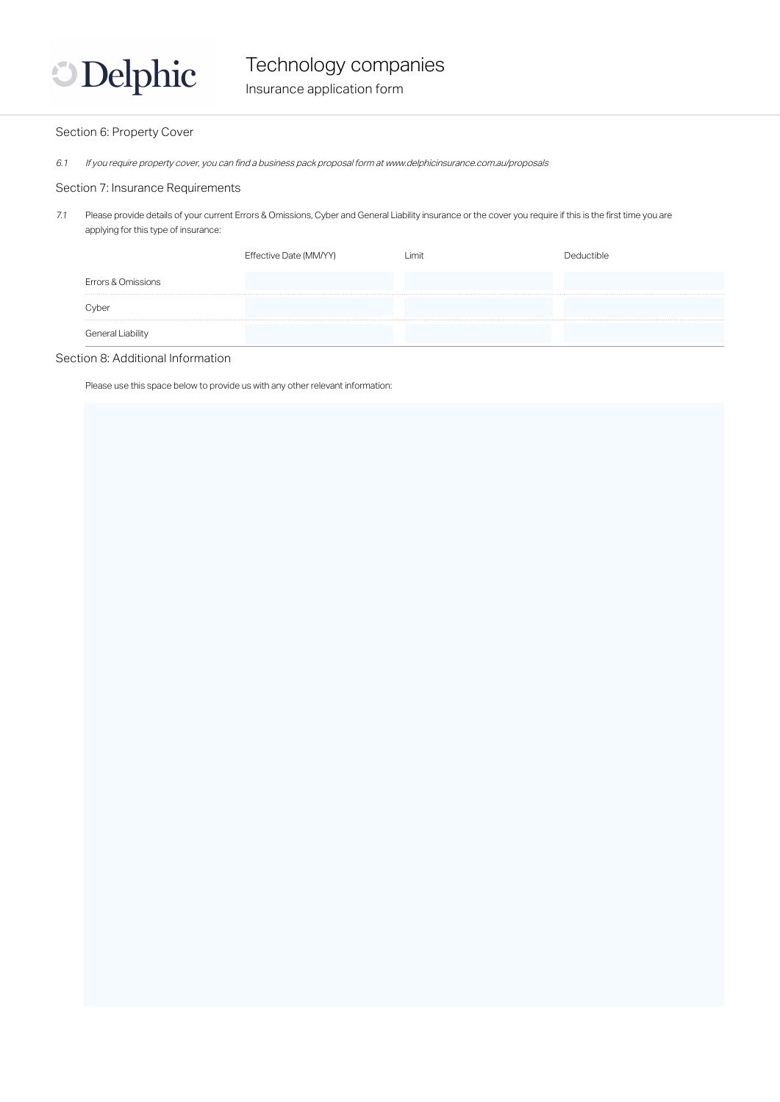

#### Section 6: Property Cover

6.1 If you require property cover, you can find a business pack proposal form at www.delphicinsurance.com.au/proposals

#### Section 7: Insurance Requirements

7.1 Please provide details of your current Errors & Omissions, Cyber and General Liability insurance or the cover you require if this is the first time you are applying for this type of insurance:

|                    | Effective Date (MM/YY) | ∟imit | al Ictible |
|--------------------|------------------------|-------|------------|
| Errors & Omissions |                        |       |            |
| Cyber              |                        |       |            |
| General Liability  |                        |       |            |

#### Section 8: Additional Information

Please use this space below to provide us with any other relevant information: